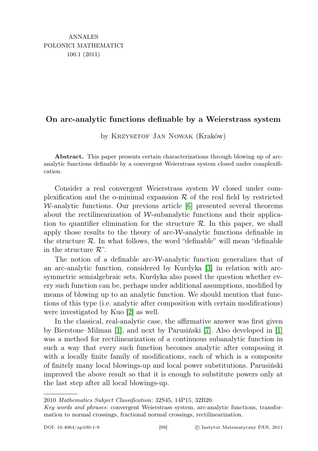## On arc-analytic functions definable by a Weierstrass system

by Krzysztof Jan Nowak (Kraków)

Abstract. This paper presents certain characterizations through blowing up of arcanalytic functions definable by a convergent Weierstrass system closed under complexification.

Consider a real convergent Weierstrass system  $W$  closed under complexification and the o-minimal expansion  $R$  of the real field by restricted  $W$ -analytic functions. Our previous article  $[6]$  presented several theorems about the rectilinearization of  $W$ -subanalytic functions and their application to quantifier elimination for the structure  $\mathcal{R}$ . In this paper, we shall apply those results to the theory of arc- $W$ -analytic functions definable in the structure  $\mathcal R$ . In what follows, the word "definable" will mean "definable" in the structure  $\mathcal{R}$ ".

The notion of a definable arc- $W$ -analytic function generalizes that of an arc-analytic function, considered by Kurdyka [\[3\]](#page-4-1) in relation with arcsymmetric semialgebraic sets. Kurdyka also posed the question whether every such function can be, perhaps under additional assumptions, modified by means of blowing up to an analytic function. We should mention that functions of this type (i.e. analytic after composition with certain modifications) were investigated by Kuo [\[2\]](#page-4-2) as well.

In the classical, real-analytic case, the affirmative answer was first given by Bierstone–Milman [\[1\]](#page-4-3), and next by Parusiński [\[7\]](#page-4-4). Also developed in [\[1\]](#page-4-3) was a method for rectilinearization of a continuous subanalytic function in such a way that every such function becomes analytic after composing it with a locally finite family of modifications, each of which is a composite of finitely many local blowings-up and local power substitutions. Parusiński improved the above result so that it is enough to substitute powers only at the last step after all local blowings-up.

<sup>2010</sup> Mathematics Subject Classification: 32S45, 14P15, 32B20.

Key words and phrases: convergent Weierstrass system, arc-analytic functions, transformation to normal crossings, fractional normal crossings, rectilinearization.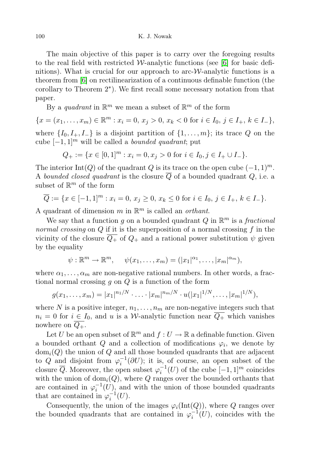The main objective of this paper is to carry over the foregoing results to the real field with restricted W-analytic functions (see [\[6\]](#page-4-0) for basic definitions). What is crucial for our approach to arc- $\mathcal{W}$ -analytic functions is a theorem from [\[6\]](#page-4-0) on rectilinearization of a continuous definable function (the corollary to Theorem 2 ∗ ). We first recall some necessary notation from that paper.

By a *quadrant* in  $\mathbb{R}^m$  we mean a subset of  $\mathbb{R}^m$  of the form

 ${x = (x_1, \ldots, x_m) \in \mathbb{R}^m : x_i = 0, x_j > 0, x_k < 0 \text{ for } i \in I_0, j \in I_+, k \in I_-\},$ where  $\{I_0, I_+, I_-\}$  is a disjoint partition of  $\{1, \ldots, m\}$ ; its trace Q on the cube  $[-1, 1]^m$  will be called a *bounded quadrant*; put

$$
Q_+ := \{ x \in [0,1]^m : x_i = 0, x_j > 0 \text{ for } i \in I_0, j \in I_+ \cup I_- \}.
$$

The interior Int(Q) of the quadrant Q is its trace on the open cube  $(-1, 1)^m$ . A bounded closed quadrant is the closure  $\overline{Q}$  of a bounded quadrant  $Q$ , i.e. a subset of  $\mathbb{R}^m$  of the form

$$
\overline{Q} := \{ x \in [-1,1]^m : x_i = 0, x_j \ge 0, x_k \le 0 \text{ for } i \in I_0, j \in I_+, k \in I_-\}.
$$

A quadrant of dimension m in  $\mathbb{R}^m$  is called an *orthant*.

We say that a function g on a bounded quadrant Q in  $\mathbb{R}^m$  is a fractional normal crossing on  $Q$  if it is the superposition of a normal crossing  $f$  in the vicinity of the closure  $\overline{Q_+}$  of  $Q_+$  and a rational power substitution  $\psi$  given by the equality

$$
\psi: \mathbb{R}^m \to \mathbb{R}^m, \quad \psi(x_1, \ldots, x_m) = (|x_1|^{\alpha_1}, \ldots, |x_m|^{\alpha_m}),
$$

where  $\alpha_1, \ldots, \alpha_m$  are non-negative rational numbers. In other words, a fractional normal crossing  $g$  on  $Q$  is a function of the form

$$
g(x_1,\ldots,x_m)=|x_1|^{n_1/N}\cdot\ldots\cdot|x_m|^{n_m/N}\cdot u(|x_1|^{1/N},\ldots,|x_m|^{1/N}),
$$

where N is a positive integer,  $n_1, \ldots, n_m$  are non-negative integers such that  $n_i = 0$  for  $i \in I_0$ , and u is a W-analytic function near  $\overline{Q_+}$  which vanishes nowhere on  $Q_+$ .

Let U be an open subset of  $\mathbb{R}^m$  and  $f: U \to \mathbb{R}$  a definable function. Given a bounded orthant  $Q$  and a collection of modifications  $\varphi_i$ , we denote by  $dom_i(Q)$  the union of Q and all those bounded quadrants that are adjacent to Q and disjoint from  $\varphi_i^{-1}(\partial U)$ ; it is, of course, an open subset of the closure  $\overline{Q}$ . Moreover, the open subset  $\varphi_i^{-1}(U)$  of the cube  $[-1,1]^m$  coincides with the union of  $dom_i(Q)$ , where Q ranges over the bounded orthants that are contained in  $\varphi_i^{-1}(U)$ , and with the union of those bounded quadrants that are contained in  $\varphi_i^{-1}(U)$ .

Consequently, the union of the images  $\varphi_i(\text{Int}(Q))$ , where Q ranges over the bounded quadrants that are contained in  $\varphi_i^{-1}(U)$ , coincides with the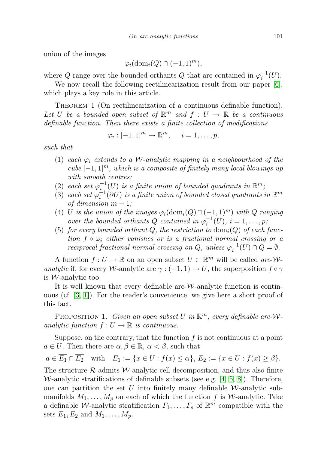union of the images

$$
\varphi_i(\mathrm{dom}_i(Q) \cap (-1,1)^m),
$$

where Q range over the bounded orthants Q that are contained in  $\varphi_i^{-1}(U)$ .

We now recall the following rectilinearization result from our paper [\[6\]](#page-4-0), which plays a key role in this article.

THEOREM 1 (On rectilinearization of a continuous definable function). Let U be a bounded open subset of  $\mathbb{R}^m$  and  $f: U \to \mathbb{R}$  be a continuous definable function. Then there exists a finite collection of modifications

$$
\varphi_i: [-1,1]^m \to \mathbb{R}^m, \quad i=1,\ldots,p,
$$

such that

- (1) each  $\varphi_i$  extends to a *W*-analytic mapping in a neighbourhood of the cube  $[-1, 1]^m$ , which is a composite of finitely many local blowings-up with smooth centres;
- (2) each set  $\varphi_{i}^{-1}(U)$  is a finite union of bounded quadrants in  $\mathbb{R}^m$ ,
- (3) each set  $\varphi_i^{-1}(\partial U)$  is a finite union of bounded closed quadrants in  $\mathbb{R}^m$ of dimension  $m-1$ ;
- (4) U is the union of the images  $\varphi_i(\text{dom}_i(Q) \cap (-1, 1)^m)$  with Q ranging over the bounded orthants Q contained in  $\varphi_i^{-1}(U)$ ,  $i = 1, \ldots, p$ ;
- (5) for every bounded orthant Q, the restriction to  $\text{dom}_i(Q)$  of each function  $f \circ \varphi_i$  either vanishes or is a fractional normal crossing or a reciprocal fractional normal crossing on Q, unless  $\varphi_i^{-1}(U) \cap Q = \emptyset$ .

A function  $f: U \to \mathbb{R}$  on an open subset  $U \subset \mathbb{R}^m$  will be called arc-Wanalytic if, for every W-analytic arc  $\gamma$  :  $(-1,1) \rightarrow U$ , the superposition  $f \circ \gamma$ is *W*-analytic too.

It is well known that every definable arc- $W$ -analytic function is continuous (cf. [\[3,](#page-4-1) [1\]](#page-4-3)). For the reader's convenience, we give here a short proof of this fact.

PROPOSITION 1. Given an open subset U in  $\mathbb{R}^m$ , every definable arc-Wanalytic function  $f: U \to \mathbb{R}$  is continuous.

Suppose, on the contrary, that the function  $f$  is not continuous at a point  $a \in U$ . Then there are  $\alpha, \beta \in \mathbb{R}$ ,  $\alpha < \beta$ , such that

$$
a \in E_1 \cap E_2
$$
 with  $E_1 := \{x \in U : f(x) \le \alpha\}$ ,  $E_2 := \{x \in U : f(x) \ge \beta\}$ .

The structure  $\mathcal R$  admits W-analytic cell decomposition, and thus also finite W-analytic stratifications of definable subsets (see e.g.  $[4, 5, 8]$  $[4, 5, 8]$  $[4, 5, 8]$ ). Therefore, one can partition the set U into finitely many definable  $\mathcal W$ -analytic submanifolds  $M_1, \ldots, M_p$  on each of which the function f is W-analytic. Take a definable *W*-analytic stratification  $\Gamma_1, \ldots, \Gamma_s$  of  $\mathbb{R}^m$  compatible with the sets  $E_1, E_2$  and  $M_1, \ldots, M_p$ .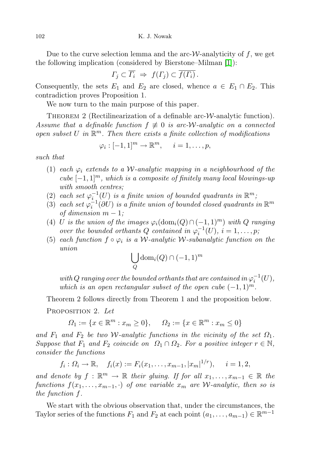Due to the curve selection lemma and the arc- $W$ -analyticity of f, we get the following implication (considered by Bierstone–Milman [\[1\]](#page-4-3)):

$$
\Gamma_j \subset \overline{\Gamma_i} \Rightarrow f(\Gamma_j) \subset \overline{f(\Gamma_i)}.
$$

Consequently, the sets  $E_1$  and  $E_2$  are closed, whence  $a \in E_1 \cap E_2$ . This contradiction proves Proposition 1.

We now turn to the main purpose of this paper.

THEOREM 2 (Rectilinearization of a definable arc- $W$ -analytic function). Assume that a definable function  $f \neq 0$  is arc-W-analytic on a connected open subset U in  $\mathbb{R}^m$ . Then there exists a finite collection of modifications

$$
\varphi_i: [-1,1]^m \to \mathbb{R}^m, \quad i=1,\ldots,p,
$$

such that

- (1) each  $\varphi_i$  extends to a W-analytic mapping in a neighbourhood of the cube  $[-1, 1]^m$ , which is a composite of finitely many local blowings-up with smooth centres;
- (2) each set  $\varphi_i^{-1}(U)$  is a finite union of bounded quadrants in  $\mathbb{R}^m$ ,
- (3) each set  $\varphi_i^{-1}(\partial U)$  is a finite union of bounded closed quadrants in  $\mathbb{R}^m$ of dimension  $m-1$ ;
- (4) U is the union of the images  $\varphi_i(\text{dom}_i(Q) \cap (-1, 1)^m)$  with Q ranging over the bounded orthants Q contained in  $\varphi_i^{-1}(U)$ ,  $i = 1, \ldots, p$ ;
- (5) each function  $f \circ \varphi_i$  is a W-analytic W-subanalytic function on the union

$$
\bigcup_{Q} \text{dom}_i(Q) \cap (-1,1)^m
$$

with  $Q$  ranging over the bounded orthants that are contained in  $\varphi_i^{-1}(U),$ which is an open rectangular subset of the open cube  $(-1, 1)^m$ .

Theorem 2 follows directly from Theorem 1 and the proposition below.

PROPOSITION 2. Let

$$
\Omega_1 := \{ x \in \mathbb{R}^m : x_m \ge 0 \}, \quad \Omega_2 := \{ x \in \mathbb{R}^m : x_m \le 0 \}
$$

and  $F_1$  and  $F_2$  be two W-analytic functions in the vicinity of the set  $\Omega_1$ . Suppose that  $F_1$  and  $F_2$  coincide on  $\Omega_1 \cap \Omega_2$ . For a positive integer  $r \in \mathbb{N}$ , consider the functions

$$
f_i: \Omega_i \to \mathbb{R}, \quad f_i(x) := F_i(x_1, \ldots, x_{m-1}, |x_m|^{1/r}), \quad i = 1, 2,
$$

and denote by  $f : \mathbb{R}^m \to \mathbb{R}$  their gluing. If for all  $x_1, \ldots, x_{m-1} \in \mathbb{R}$  the functions  $f(x_1, \ldots, x_{m-1}, \cdot)$  of one variable  $x_m$  are W-analytic, then so is the function f.

We start with the obvious observation that, under the circumstances, the Taylor series of the functions  $F_1$  and  $F_2$  at each point  $(a_1, \ldots, a_{m-1}) \in \mathbb{R}^{m-1}$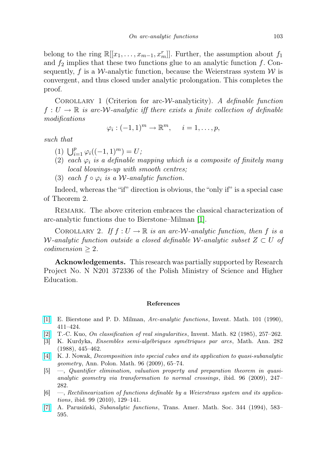belong to the ring  $\mathbb{R}[[x_1,\ldots,x_{m-1},x_m^r]]$ . Further, the assumption about  $f_1$ and  $f_2$  implies that these two functions glue to an analytic function f. Consequently, f is a W-analytic function, because the Weierstrass system  $W$  is convergent, and thus closed under analytic prolongation. This completes the proof.

COROLLARY 1 (Criterion for arc-*W*-analyticity). A definable function  $f: U \to \mathbb{R}$  is arc-W-analytic iff there exists a finite collection of definable modifications

$$
\varphi_i: (-1,1)^m \to \mathbb{R}^m, \quad i=1,\ldots,p,
$$

such that

- (1)  $\bigcup_{i=1}^{p} \varphi_i((-1, 1)^m) = U;$
- (2) each  $\varphi_i$  is a definable mapping which is a composite of finitely many local blowings-up with smooth centres;
- (3) each  $f \circ \varphi_i$  is a W-analytic function.

Indeed, whereas the "if" direction is obvious, the "only if" is a special case of Theorem 2.

Remark. The above criterion embraces the classical characterization of arc-analytic functions due to Bierstone–Milman [\[1\]](#page-4-3).

COROLLARY 2. If  $f: U \to \mathbb{R}$  is an arc-W-analytic function, then f is a W-analytic function outside a closed definable W-analytic subset  $Z \subset U$  of  $codimension \geq 2$ .

Acknowledgements. This research was partially supported by Research Project No. N N201 372336 of the Polish Ministry of Science and Higher Education.

## References

- <span id="page-4-3"></span>[\[1\]](http://dx.doi.org/10.1007/BF01231509) E. Bierstone and P. D. Milman, Arc-analytic functions, Invent. Math. 101 (1990), 411–424.
- <span id="page-4-2"></span>[\[2\]](http://dx.doi.org/10.1007/BF01388802) T.-C. Kuo, On classification of real singularities, Invent. Math. 82 (1985), 257–262.
- <span id="page-4-1"></span>[3] K. Kurdyka, Ensembles semi-algébriques symétriques par arcs, Math. Ann. 282 (1988), 445–462.
- <span id="page-4-5"></span>[\[4\]](http://dx.doi.org/10.4064/ap96-1-6) K. J. Nowak, Decomposition into special cubes and its application to quasi-subanalytic geometry, Ann. Polon. Math. 96 (2009), 65–74.
- <span id="page-4-6"></span>[5] —, Quantifier elimination, valuation property and preparation theorem in quasianalytic geometry via transformation to normal crossings, ibid. 96 (2009), 247– 282.
- <span id="page-4-0"></span>[6] —, Rectilinearization of functions definable by a Weierstrass system and its applications, ibid. 99 (2010), 129–141.
- <span id="page-4-4"></span>[\[7\]](http://dx.doi.org/10.2307/2154496) A. Parusiński, Subanalytic functions, Trans. Amer. Math. Soc. 344 (1994), 583– 595.